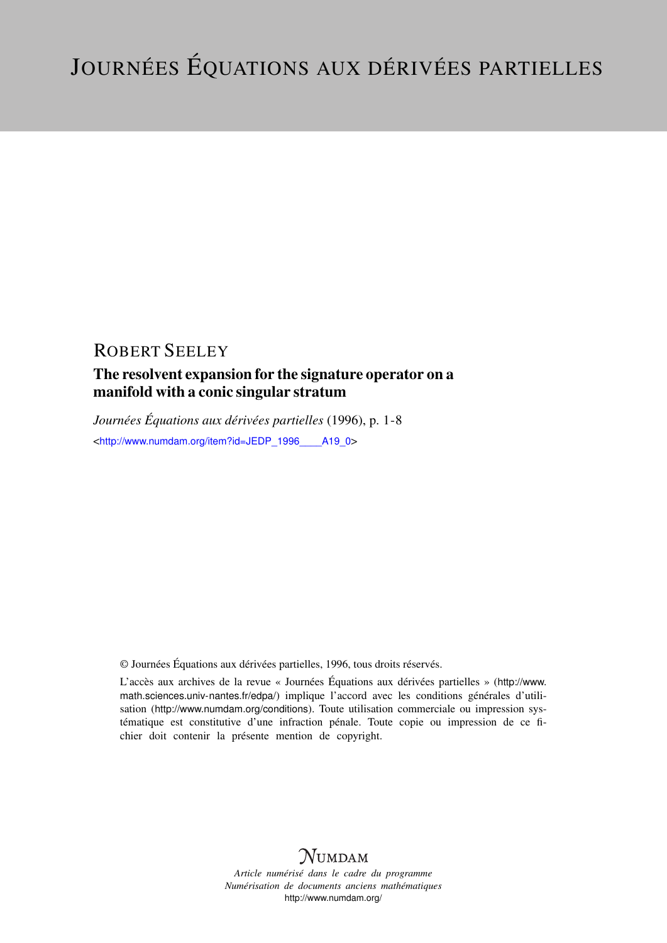## ROBERT SEELEY

## The resolvent expansion for the signature operator on a manifold with a conic singular stratum

*Journées Équations aux dérivées partielles* (1996), p. 1-8 <http://www.numdam.org/item?id=JEDP\_1996\_\_\_\_ A19\_0>

© Journées Équations aux dérivées partielles, 1996, tous droits réservés.

L'accès aux archives de la revue « Journées Équations aux dérivées partielles » ([http://www.](http://www.math.sciences.univ-nantes.fr/edpa/) [math.sciences.univ-nantes.fr/edpa/](http://www.math.sciences.univ-nantes.fr/edpa/)) implique l'accord avec les conditions générales d'utilisation (<http://www.numdam.org/conditions>). Toute utilisation commerciale ou impression systématique est constitutive d'une infraction pénale. Toute copie ou impression de ce fichier doit contenir la présente mention de copyright.



*Article numérisé dans le cadre du programme Numérisation de documents anciens mathématiques* <http://www.numdam.org/>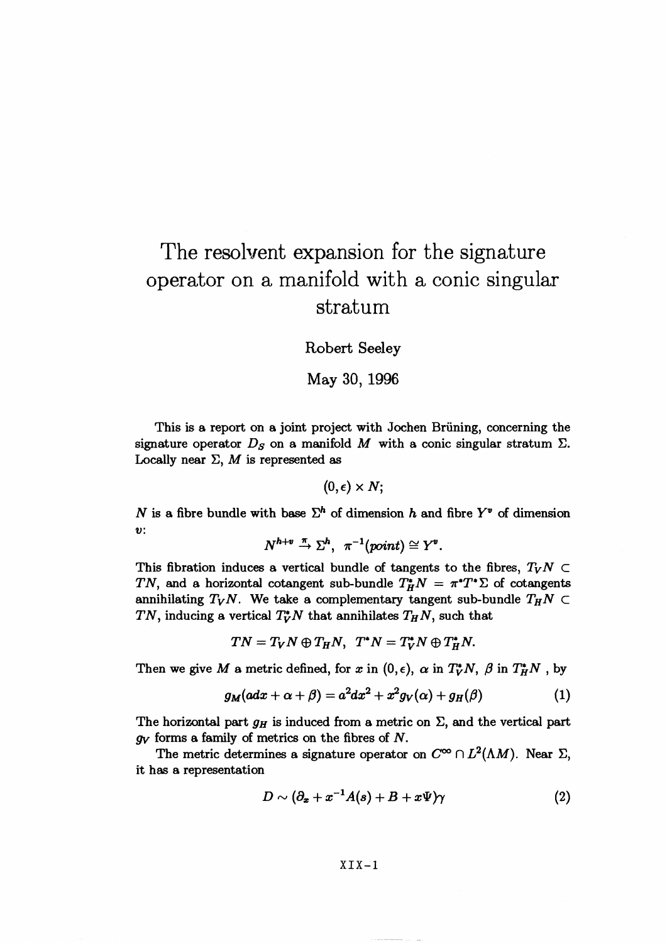# The resolvent expansion for the signature operator on a manifold with a conic singular stratum

Robert Seeley

May 30, 1996

This is a report on a joint project with Jochen Brüning, concerning the signature operator  $D<sub>S</sub>$  on a manifold M with a conic singular stratum  $\Sigma$ . Locally near  $\Sigma$ , M is represented as

 $(0,\epsilon)\times N$ ;

*N* is a fibre bundle with base  $\Sigma^h$  of dimension *h* and fibre  $Y^v$  of dimension *v:*

$$
N^{h+v} \stackrel{\pi}{\to} \Sigma^h, \ \pi^{-1}(point) \cong Y^v.
$$

This fibration induces a vertical bundle of tangents to the fibres,  $T_VN \subset$ TN, and a horizontal cotangent sub-bundle  $T^*_H N = \pi^* T^* \Sigma$  of cotangents annihilating  $T_VN$ . We take a complementary tangent sub-bundle  $T_HN \subset$ TN, inducing a vertical  $T_V^*N$  that annihilates  $T_HN$ , such that

 $TN = T_VN \oplus T_HN$ ,  $T^*N = T_V^*N \oplus T_H^*N$ .

Then we give M a metric defined, for x in  $(0, \epsilon)$ ,  $\alpha$  in  $T_V^*N$ ,  $\beta$  in  $T_H^*N$ , by

$$
g_M(adx + \alpha + \beta) = a^2 dx^2 + x^2 g_V(\alpha) + g_H(\beta)
$$
 (1)

The horizontal part  $g_H$  is induced from a metric on  $\Sigma$ , and the vertical part *gy* forms a family of metrics on the fibres of *N.*

The metric determines a signature operator on  $C^{\infty} \cap L^2(\Lambda M)$ . Near  $\Sigma$ it has a representation

$$
D \sim (\partial_x + x^{-1}A(s) + B + x\Psi)\gamma
$$
 (2)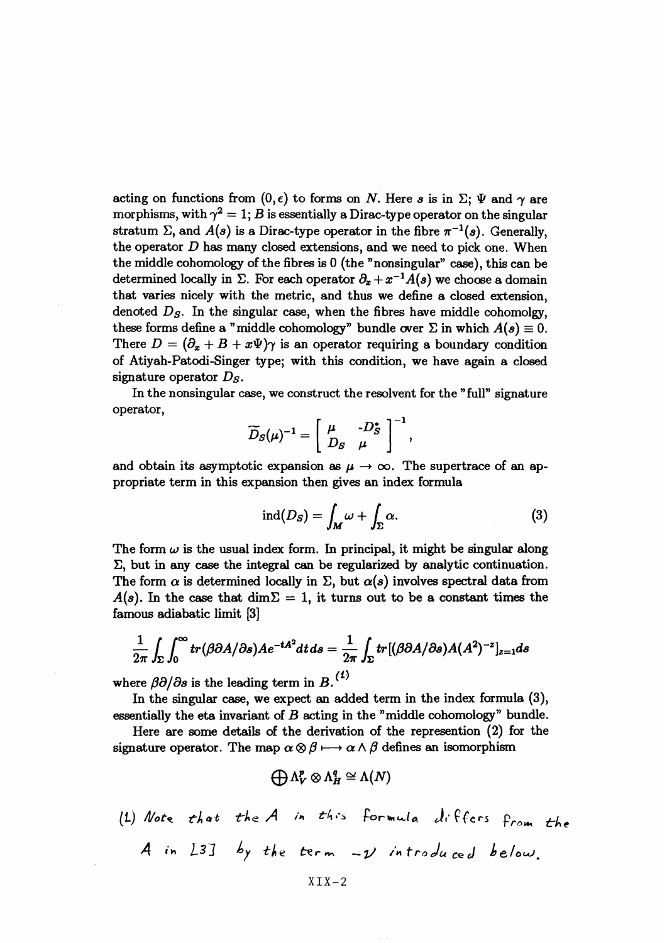acting on functions from  $(0, \epsilon)$  to forms on N. Here s is in  $\Sigma$ ;  $\Psi$  and  $\gamma$  are morphisms, with  $\gamma^2 = 1$ ; B is essentially a Dirac-type operator on the singular stratum E, and  $A(s)$  is a Dirac-type operator in the fibre  $\pi^{-1}(s)$ . Generally, the operator *D* has many closed extensions, and we need to pick one. When the middle cohomology of the fibres is 0 (the "nonsingular" case), this can be determined locally in  $\Sigma$ . For each operator  $\partial_x + x^{-1}A(s)$  we choose a domain that varies nicely with the metric, and thus we define a closed extension, denoted  $D<sub>S</sub>$ . In the singular case, when the fibres have middle cohomolgy, these forms define a "middle cohomology" bundle over  $\Sigma$  in which  $A(s) \equiv 0$ . There  $D = (\partial_x + B + x\Psi)\gamma$  is an operator requiring a boundary condition of Atiyah-Patodi-Singer type; with this condition, we have again a closed signature operator *Ds.*

In the nonsingular case, we construct the resolvent for the "full" signature<br>operator,  $\widetilde{D}_S(\mu)^{-1} = \left[ \begin{array}{cc} \mu & -D_S^* \\ D_S & \mu \end{array} \right]^{-1},$ 

$$
\widetilde{D}_S(\mu)^{-1} = \left[ \begin{array}{cc} \mu & -D_S^* \\ D_S & \mu \end{array} \right]^{-1}
$$

and obtain its asymptotic expansion as  $\mu \to \infty$ . The supertrace of an appropriate term in this expansion then gives an index formula

$$
\operatorname{ind}(D_S) = \int_M \omega + \int_{\Sigma} \alpha. \tag{3}
$$

The form  $\omega$  is the usual index form. In principal, it might be singular along  $\Sigma$ , but in any case the integral can be regularized by analytic continuation. The form  $\alpha$  is determined locally in  $\Sigma$ , but  $\alpha(s)$  involves spectral data from  $A(s)$ . In the case that  $\dim \Sigma = 1$ , it turns out to be a constant times the famous adiabatic limit [3]

$$
\frac{1}{2\pi}\int_{\Sigma}\int_0^{\infty}tr(\beta\partial A/\partial s)Ae^{-tA^2}dt ds = \frac{1}{2\pi}\int_{\Sigma}tr[(\beta\partial A/\partial s)A(A^2)^{-z}]_{z=1}ds
$$

where  $\beta \partial/\partial s$  is the leading term in B.<sup>(1)</sup>

In the singular case, we expect an added term in the index formula (3), essentially the eta invariant of  $B$  acting in the "middle cohomology" bundle

Here are some details of the derivation of the represention (2) for the signature operator. The map  $\alpha \otimes \beta \longmapsto \alpha \wedge \beta$  defines an isomorphism

$$
\bigoplus \Lambda^p_V \otimes \Lambda^q_H \cong \Lambda(N)
$$

$$
\bigoplus_{\Lambda_V} \bigotimes_{\Lambda_H} \Lambda_H = \Lambda(N)
$$
\n(1) Note that the A in this formula will f fers from the

\nA in L3J by the term -y introduced below.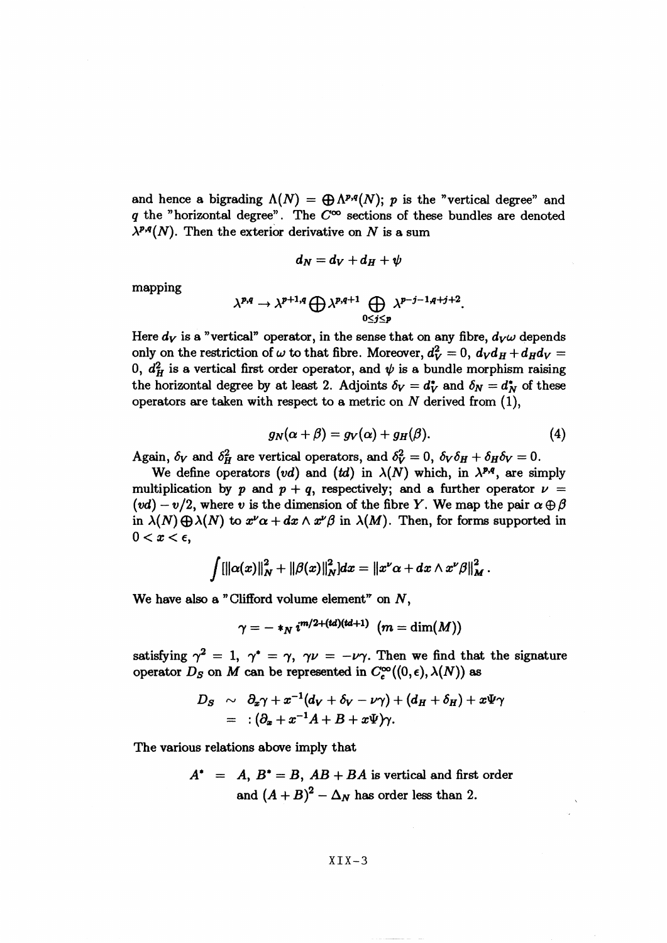and hence a bigrading  $\Lambda(N) = \bigoplus_{i} \Lambda^{p,q}(N)$ ; p is the "vertical degree" and *q* the "horizontal degree". The  $C^{\infty}$  sections of these bundles are denoted  $\lambda^{p,q}(N)$ . Then the exterior derivative on N is a sum

$$
d_N = d_V + d_H + \psi
$$

mapping

$$
\lambda^{p,q} \to \lambda^{p+1,q} \bigoplus \lambda^{p,q+1} \bigoplus_{0 \leq j \leq p} \lambda^{p-j-1,q+j+2}.
$$

Here  $d_V$  is a "vertical" operator, in the sense that on any fibre,  $d_V \omega$  depends only on the restriction of  $\omega$  to that fibre. Moreover,  $d_V^2 = 0$ ,  $d_V d_H + d_H d_V =$ 0,  $d_H^2$  is a vertical first order operator, and  $\psi$  is a bundle morphism raising the horizontal degree by at least 2. Adjoints  $\delta_V = d_V^*$  and  $\delta_N = d_N^*$  of these operators are taken with respect to a metric on *N* derived from (1),

$$
g_N(\alpha + \beta) = g_V(\alpha) + g_H(\beta). \tag{4}
$$

Again,  $\delta_V$  and  $\delta_H^2$  are vertical operators, and  $\delta_V^2 = 0$ ,  $\delta_V \delta_H + \delta_H \delta_V = 0$ .

We define operators  $(vd)$  and  $(td)$  in  $\lambda(N)$  which, in  $\lambda^{p,q}$ , are simply multiplication by p and  $p + q$ , respectively; and a further operator  $\nu =$  $(vd) - v/2$ , where v is the dimension of the fibre Y. We map the pair  $\alpha \oplus \beta$ in  $\lambda(N) \bigoplus \lambda(N)$  to  $x^{\nu} \alpha + dx \wedge x^{\nu} \beta$  in  $\lambda(M)$ . Then, for forms supported in  $0 < x < \epsilon$ ,

$$
\int [||\alpha(x)||_N^2 + ||\beta(x)||_N^2] dx = ||x^{\nu} \alpha + dx \wedge x^{\nu} \beta||_M^2.
$$

We have also a "Clifford volume element" on *N^*

$$
\gamma = - *_{N} i^{m/2 + (td)(td+1)} (m = \dim(M))
$$

satisfying  $\gamma^2 = 1$ ,  $\gamma^* = \gamma$ ,  $\gamma \nu = -\nu \gamma$ . Then we find that the signature operator  $D_S$  on M can be represented in  $C_c^{\infty}((0,\epsilon), \lambda(N))$  as

$$
D_S \sim \partial_x \gamma + x^{-1} (d_V + \delta_V - \nu \gamma) + (d_H + \delta_H) + x \Psi \gamma
$$
  
= :  $(\partial_x + x^{-1} A + B + x \Psi) \gamma$ .

The various relations above imply that

$$
A^* = A, B^* = B, AB + BA \text{ is vertical and first order}
$$
  
and 
$$
(A + B)^2 - \Delta_N \text{ has order less than 2.}
$$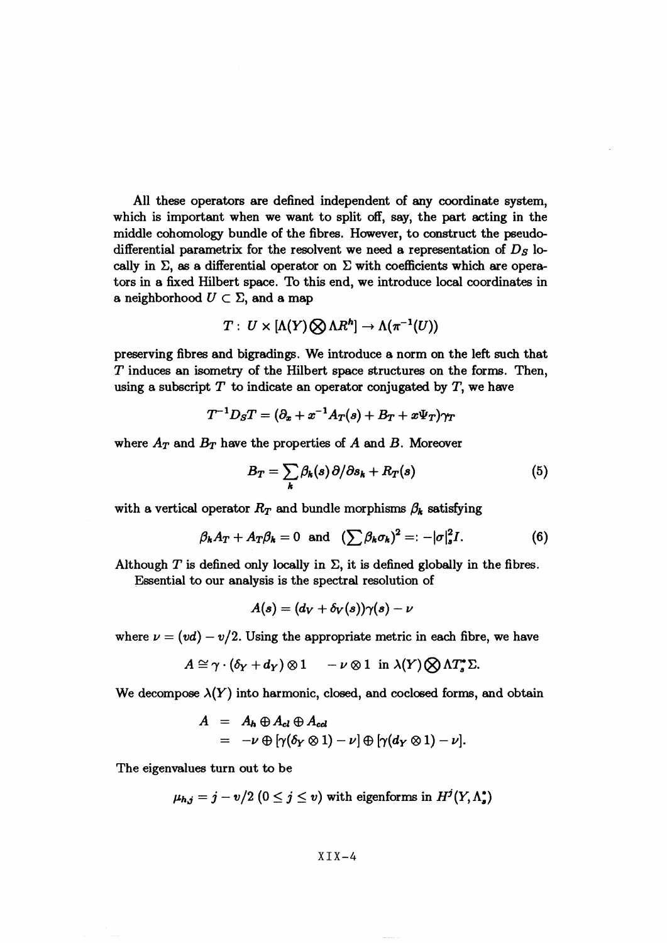All these operators are defined independent of any coordinate system, which is important when we want to split off, say, the part acting in the middle cohomology bundle of the fibres. However, to construct the pseudodifferential parametrix for the resolvent we need a representation of *Ds* locally in  $\Sigma$ , as a differential operator on  $\Sigma$  with coefficients which are operators in a fixed Hilbert space. To this end, we introduce local coordinates in a neighborhood  $U \subset \Sigma$ , and a map

$$
T: U \times [\Lambda(Y) \bigotimes \Lambda R^{h}] \to \Lambda(\pi^{-1}(U))
$$

preserving fibres and bigrading^. We introduce a norm on the left such that T induces an isometry of the Hilbert space structures on the forms. Then, using a subscript *T* to indicate an operator conjugated by T, we have

$$
T^{-1}D_S T = (\partial_x + x^{-1}A_T(s) + B_T + x\Psi_T)\gamma_T
$$

where  $A_T$  and  $B_T$  have the properties of  $A$  and  $B$ . Moreover

$$
B_T = \sum_{k} \beta_k(s) \partial/\partial s_k + R_T(s) \tag{5}
$$

with a vertical operator  $R_T$  and bundle morphisms  $\beta_k$  satisfying

$$
\beta_k A_T + A_T \beta_k = 0 \text{ and } (\sum \beta_k \sigma_k)^2 =: -|\sigma|_s^2 I. \tag{6}
$$

Although  $T$  is defined only locally in  $\Sigma$ , it is defined globally in the fibres. Essential to our analysis is the spectral resolution of

$$
A(s)=(d_V+\delta_V(s))\gamma(s)-\nu
$$

where  $\nu = (vd) - v/2$ . Using the appropriate metric in each fibre, we have

$$
A \cong \gamma \cdot (\delta_Y + d_Y) \otimes 1 \quad -\nu \otimes 1 \text{ in } \lambda(Y) \bigotimes \Lambda T_s^* \Sigma.
$$

We decompose  $\lambda(Y)$  into harmonic, closed, and coclosed forms, and obtain

$$
A = A_h \oplus A_{cl} \oplus A_{cd}
$$
  
=  $-\nu \oplus [\gamma(\delta_Y \otimes 1) - \nu] \oplus [\gamma(d_Y \otimes 1) - \nu].$ 

The eigenvalues turn out to be

$$
\mu_{h,j}=j-v/2\ (0\leq j\leq v)\ \text{with eigenforms in}\ H^{j}(Y,\Lambda_{s}^{*})
$$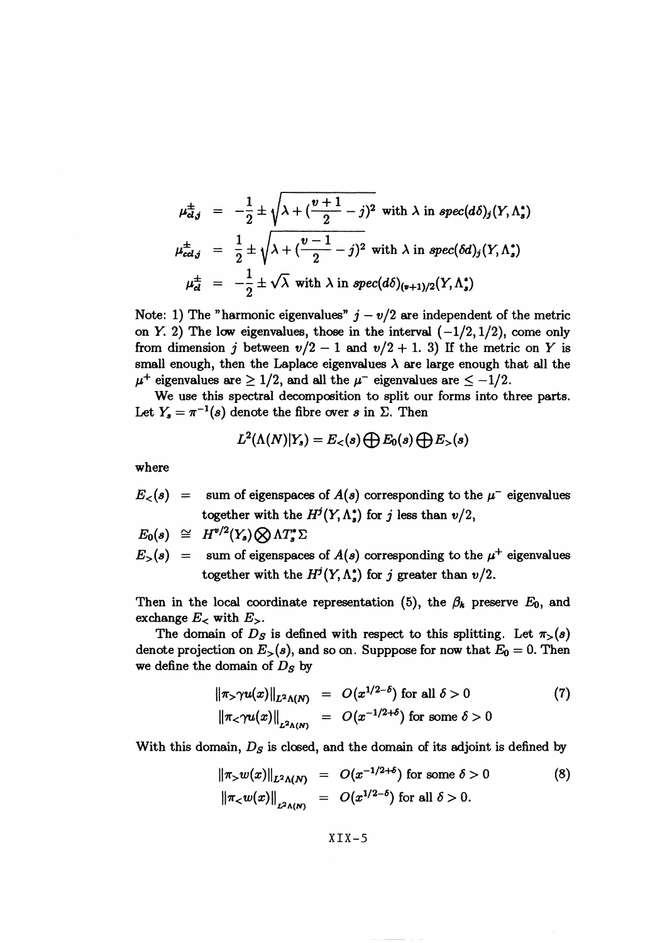$$
\mu_{\alpha,j}^{\pm} = -\frac{1}{2} \pm \sqrt{\lambda + (\frac{v+1}{2} - j)^2} \text{ with } \lambda \text{ in } spec(d\delta)_j(Y, \Lambda_s^*)
$$
  

$$
\mu_{\alpha,j}^{\pm} = \frac{1}{2} \pm \sqrt{\lambda + (\frac{v-1}{2} - j)^2} \text{ with } \lambda \text{ in } spec(\delta d)_j(Y, \Lambda_s^*)
$$
  

$$
\mu_{\alpha}^{\pm} = -\frac{1}{2} \pm \sqrt{\lambda} \text{ with } \lambda \text{ in } spec(d\delta)_{(v+1)/2}(Y, \Lambda_s^*)
$$

Note: 1) The "harmonic eigenvalues"  $j - v/2$  are independent of the metric on Y. 2) The low eigenvalues, those in the interval  $(-1/2,1/2)$ , come only from dimension *j* between  $v/2 - 1$  and  $v/2 + 1$ . 3) If the metric on *Y* is small enough, then the Laplace eigenvalues  $\lambda$  are large enough that all the  $\mu^+$  eigenvalues are  $\geq 1/2$ , and all the  $\mu^-$  eigenvalues are  $\leq -1/2$ .

We use this spectral decomposition to split our forms into three parts. Let  $Y_s = \pi^{-1}(s)$  denote the fibre over *s* in  $\Sigma$ . Then

$$
L^2(\Lambda(N)|Y_s) = E_<(s) \bigoplus E_0(s) \bigoplus E_>(s)
$$

where

 $E<sub><</sub>(s)$ sum of eigenspaces of  $A(s)$  corresponding to the  $\mu$ <sup>-</sup> eigenvalues together with the  $H^j(Y, \Lambda_s^*)$  for *j* less than  $v/2$ ,

$$
E_0(s) \cong H^{v/2}(Y_s) \bigotimes \Lambda T_s^* \Sigma
$$

 $E^{\text{}}(s)$  = sum of eigenspaces of  $A(s)$  corresponding to the  $\mu^+$  eigenvalues together with the  $H^j(Y, \Lambda_s^*)$  for j greater than  $v/2$ .

Then in the local coordinate representation (5), the  $\beta_k$  preserve  $E_0$ , and exchange  $E<sub>z</sub>$  with  $E<sub>z</sub>$ .

The domain of  $D<sub>S</sub>$  is defined with respect to this splitting. Let  $\pi$ <sub>></sub>(s) denote projection on  $E_{>}(s)$ , and so on. Supppose for now that  $E_0 = 0$ . Then we define the domain of *Ds* by

$$
\|\pi_{>}\gamma u(x)\|_{L^{2}\Lambda(N)} = O(x^{1/2-\delta}) \text{ for all } \delta > 0
$$
\n
$$
\|\pi_{<}\gamma u(x)\|_{L^{2}\Lambda(N)} = O(x^{-1/2+\delta}) \text{ for some } \delta > 0
$$
\n
$$
(7)
$$

With this domain,  $D<sub>S</sub>$  is closed, and the domain of its adjoint is defined by

$$
\|\pi_{>}w(x)\|_{L^{2}\Lambda(N)} = O(x^{-1/2+\delta}) \text{ for some } \delta > 0
$$
 (8)  

$$
\|\pi_{<}w(x)\|_{L^{2}\Lambda(N)} = O(x^{1/2-\delta}) \text{ for all } \delta > 0.
$$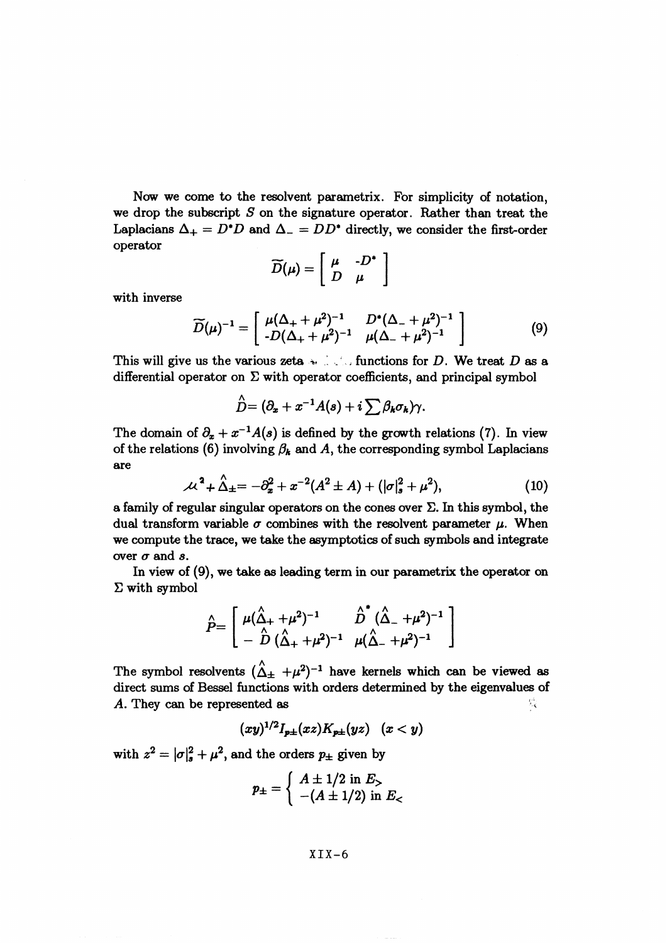Now we come to the resolvent parametrix. For simplicity of notation, we drop the subscript *S* on the signature operator. Rather than treat the Laplacians  $\Delta_{+} = D^*D$  and  $\Delta_{-} = DD^*$  directly, we consider the first-order operator

$$
\widetilde{D}(\mu) = \left[ \begin{array}{cc} \mu & -D^* \\ D & \mu \end{array} \right]
$$

with inverse

$$
\widetilde{D}(\mu)^{-1} = \begin{bmatrix} \mu(\Delta_+ + \mu^2)^{-1} & D^*(\Delta_- + \mu^2)^{-1} \\ -D(\Delta_+ + \mu^2)^{-1} & \mu(\Delta_- + \mu^2)^{-1} \end{bmatrix}
$$
(9)

This will give us the various zeta  $\cdot$  .  $\cdot$  . functions for D. We treat D as a differential operator on  $\Sigma$  with operator coefficients, and principal symbol

$$
\stackrel{\wedge}{D}=(\partial_x+x^{-1}A(s)+i\sum \beta_k\sigma_k)\gamma.
$$

The domain of  $\partial_x + x^{-1}A(s)$  is defined by the growth relations (7). In view of the relations (6) involving  $\beta_k$  and A, the corresponding symbol Laplacians are

$$
\mathcal{M}^2 + \hat{\Delta}_{\pm} = -\partial_x^2 + x^{-2}(A^2 \pm A) + (|\sigma|_s^2 + \mu^2), \tag{10}
$$

a family of regular singular operators on the cones over  $\Sigma$ . In this symbol, the dual transform variable  $\sigma$  combines with the resolvent parameter  $\mu$ . When we compute the trace, we take the asymptotics of such symbols and integrate over  $\sigma$  and  $s$ .

In view of (9), we take as leading term in our parametrix the operator on<br>
with symbol<br>  $\hat{P} = \begin{bmatrix} \mu(\hat{\Delta}_+ + \mu^2)^{-1} & \hat{D}^*(\hat{\Delta}_+ + \mu^2)^{-1} \\ \hat{\Delta}^*(\hat{\Delta}_+ + \mu^2)^{-1} & \hat{D}^*(\hat{\Delta}_+ + \mu^2)^{-1} \end{bmatrix}$  $\Sigma$  with symbol

$$
\hat{P} = \left[ \begin{array}{cc} \mu(\hat{\Delta}_{+} + \mu^{2})^{-1} & \hat{D}^{*}(\hat{\Delta}_{-} + \mu^{2})^{-1} \\ - \hat{D} (\hat{\Delta}_{+} + \mu^{2})^{-1} & \mu(\hat{\Delta}_{-} + \mu^{2})^{-1} \end{array} \right]
$$

The symbol resolvents  $(\hat{\Delta}_{\pm} + \mu^2)^{-1}$  have kernels which can be viewed as direct sums of Bessel functions with orders determined by the eigenvalues of *A*. They can be represented as  $\mathbb{Q}$ 

$$
(xy)^{1/2}I_{p\pm}(xz)K_{p\pm}(yz) \quad (x < y)
$$

with  $z^2 = |\sigma|^2 + \mu^2$ , and the orders  $p_{\pm}$  given by

$$
p_{\pm} = \begin{cases} A \pm 1/2 \text{ in } E_{>} \\ -(A \pm 1/2) \text{ in } E_{<} \end{cases}
$$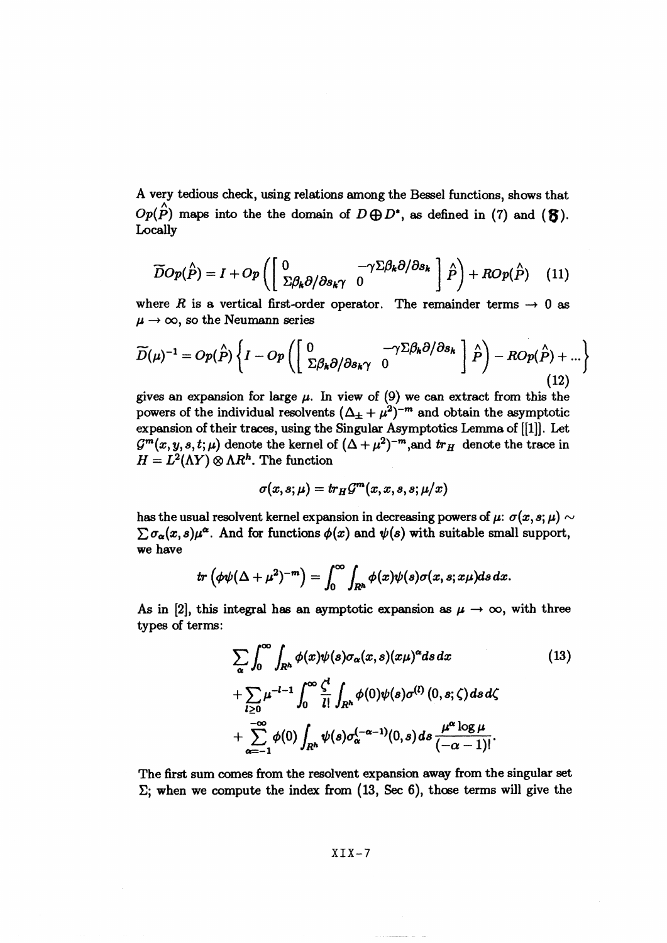A very tedious check, using relations among the Bessel functions, shows that  $Op(\hat{P})$  maps into the the domain of  $D \bigoplus D^*$ , as defined in (7) and ( $\mathfrak{F}$ ). Locally

$$
\widetilde{D}Op(\hat{P}) = I + Op\left(\begin{bmatrix} 0 & -\gamma \Sigma \beta_k \partial/\partial s_k \\ \Sigma \beta_k \partial/\partial s_k \gamma & 0 \end{bmatrix} \hat{P}\right) + ROp(\hat{P}) \quad (11)
$$

where *R* is a vertical first-order operator. The remainder terms  $\rightarrow 0$  as  $\mu \rightarrow \infty$ , so the Neumann series

$$
\widetilde{D}(\mu)^{-1} = Op(\hat{P}) \left\{ I - Op \left( \begin{bmatrix} 0 & -\gamma \Sigma \beta_k \partial/\partial s_k \\ \Sigma \beta_k \partial/\partial s_k \gamma & 0 \end{bmatrix} \hat{P} \right) - ROp(\hat{P}) + \dots \right\}
$$
\n(12)

gives an expansion for large  $\mu$ . In view of (9) we can extract from this the powers of the individual resolvents  $(\Delta_{\pm} + \mu^2)^{-m}$  and obtain the asymptotic expansion of their traces, using the Singular Asymptotics Lemma of [[1]]. Let  $G^m(x, y, s, t; \mu)$  denote the kernel of  $(\Delta + \mu^2)^{-m}$ , and  $tr_H$  denote the trace in  $H = L^2(\Lambda Y) \otimes \Lambda R^h$ . The function

$$
\sigma(x,s;\mu)=tr_H\mathcal{G}^{\boldsymbol{m}}(x,x,s,s;\mu/x)
$$

has the usual resolvent kernel expansion in decreasing powers of  $\mu: \sigma(x, s; \mu) \sim$  $\sum \sigma_{\alpha}(x,s)\mu^{\alpha}$ . And for functions  $\phi(x)$  and  $\psi(s)$  with suitable small support, we have

$$
tr\left(\phi\psi(\Delta+\mu^2)^{-m}\right)=\int_0^\infty\int_{R^h}\phi(x)\psi(s)\sigma(x,s;x\mu)ds\,dx.
$$

As in [2], this integral has an aymptotic expansion as  $\mu \to \infty$ , with three types of terms:

$$
\sum_{\alpha} \int_0^{\infty} \int_{R^h} \phi(x) \psi(s) \sigma_{\alpha}(x, s) (x\mu)^{\alpha} ds dx \qquad (13)
$$
  
+
$$
\sum_{l\geq 0} \mu^{-l-1} \int_0^{\infty} \frac{\zeta^l}{l!} \int_{R^h} \phi(0) \psi(s) \sigma^{(l)}(0, s; \zeta) ds d\zeta
$$
  
+
$$
\sum_{\alpha=-1}^{-\infty} \phi(0) \int_{R^h} \psi(s) \sigma_{\alpha}^{(-\alpha-1)}(0, s) ds \frac{\mu^{\alpha} \log \mu}{(-\alpha - 1)!}.
$$

The first sum comes from the resolvent expansion away from the singular set  $\Sigma$ ; when we compute the index from  $(13, \text{ Sec } 6)$ , those terms will give the